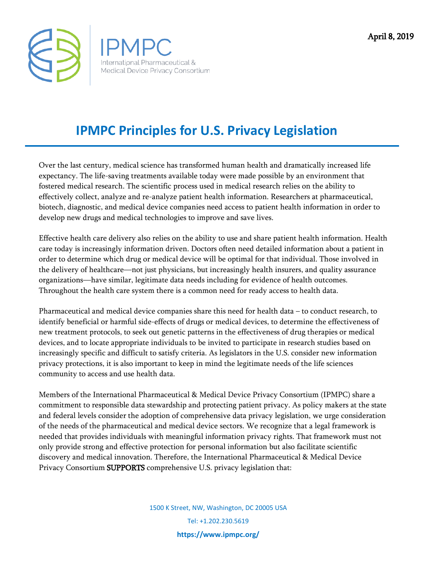



## **IPMPC Principles for U.S. Privacy Legislation**

Over the last century, medical science has transformed human health and dramatically increased life expectancy. The life-saving treatments available today were made possible by an environment that fostered medical research. The scientific process used in medical research relies on the ability to effectively collect, analyze and re-analyze patient health information. Researchers at pharmaceutical, biotech, diagnostic, and medical device companies need access to patient health information in order to develop new drugs and medical technologies to improve and save lives.

Effective health care delivery also relies on the ability to use and share patient health information. Health care today is increasingly information driven. Doctors often need detailed information about a patient in order to determine which drug or medical device will be optimal for that individual. Those involved in the delivery of healthcare—not just physicians, but increasingly health insurers, and quality assurance organizations—have similar, legitimate data needs including for evidence of health outcomes. Throughout the health care system there is a common need for ready access to health data.

Pharmaceutical and medical device companies share this need for health data – to conduct research, to identify beneficial or harmful side-effects of drugs or medical devices, to determine the effectiveness of new treatment protocols, to seek out genetic patterns in the effectiveness of drug therapies or medical devices, and to locate appropriate individuals to be invited to participate in research studies based on increasingly specific and difficult to satisfy criteria. As legislators in the U.S. consider new information privacy protections, it is also important to keep in mind the legitimate needs of the life sciences community to access and use health data.

Members of the International Pharmaceutical & Medical Device Privacy Consortium (IPMPC) share a commitment to responsible data stewardship and protecting patient privacy. As policy makers at the state and federal levels consider the adoption of comprehensive data privacy legislation, we urge consideration of the needs of the pharmaceutical and medical device sectors. We recognize that a legal framework is needed that provides individuals with meaningful information privacy rights. That framework must not only provide strong and effective protection for personal information but also facilitate scientific discovery and medical innovation. Therefore, the International Pharmaceutical & Medical Device Privacy Consortium SUPPORTS comprehensive U.S. privacy legislation that:

> 1500 K Street, NW, Washington, DC 20005 USA Tel: +1.202.230.5619 **https://www.ipmpc.org/**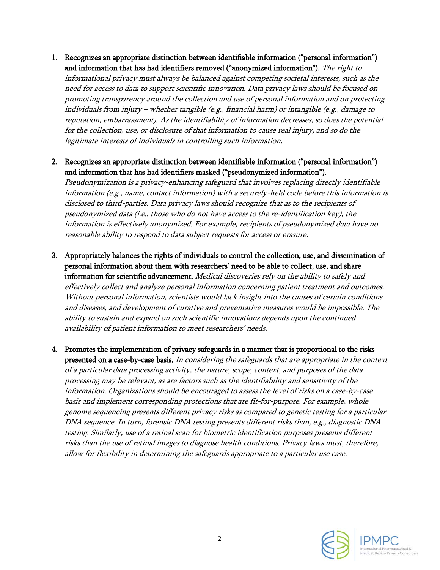1. Recognizes an appropriate distinction between identifiable information ("personal information") and information that has had identifiers removed ("anonymized information"). The right to

informational privacy must always be balanced against competing societal interests, such as the need for access to data to support scientific innovation. Data privacy laws should be focused on promoting transparency around the collection and use of personal information and on protecting individuals from injury – whether tangible (e.g., financial harm) or intangible (e.g., damage to reputation, embarrassment). As the identifiability of information decreases, so does the potential for the collection, use, or disclosure of that information to cause real injury, and so do the legitimate interests of individuals in controlling such information.

2. Recognizes an appropriate distinction between identifiable information ("personal information") and information that has had identifiers masked ("pseudonymized information").

Pseudonymization is a privacy-enhancing safeguard that involves replacing directly identifiable information (e.g., name, contact information) with a securely-held code before this information is disclosed to third-parties. Data privacy laws should recognize that as to the recipients of pseudonymized data (i.e., those who do not have access to the re-identification key), the information is effectively anonymized. For example, recipients of pseudonymized data have no reasonable ability to respond to data subject requests for access or erasure.

- 3. Appropriately balances the rights of individuals to control the collection, use, and dissemination of personal information about them with researchers' need to be able to collect, use, and share information for scientific advancement. Medical discoveries rely on the ability to safely and effectively collect and analyze personal information concerning patient treatment and outcomes. Without personal information, scientists would lack insight into the causes of certain conditions and diseases, and development of curative and preventative measures would be impossible. The ability to sustain and expand on such scientific innovations depends upon the continued availability of patient information to meet researchers' needs.
- 4. Promotes the implementation of privacy safeguards in a manner that is proportional to the risks presented on a case-by-case basis. In considering the safeguards that are appropriate in the context of a particular data processing activity, the nature, scope, context, and purposes of the data processing may be relevant, as are factors such as the identifiability and sensitivity of the information. Organizations should be encouraged to assess the level of risks on a case-by-case basis and implement corresponding protections that are fit-for-purpose. For example, whole genome sequencing presents different privacy risks as compared to genetic testing for a particular DNA sequence. In turn, forensic DNA testing presents different risks than, e.g., diagnostic DNA testing. Similarly, use of a retinal scan for biometric identification purposes presents different risks than the use of retinal images to diagnose health conditions. Privacy laws must, therefore, allow for flexibility in determining the safeguards appropriate to a particular use case.